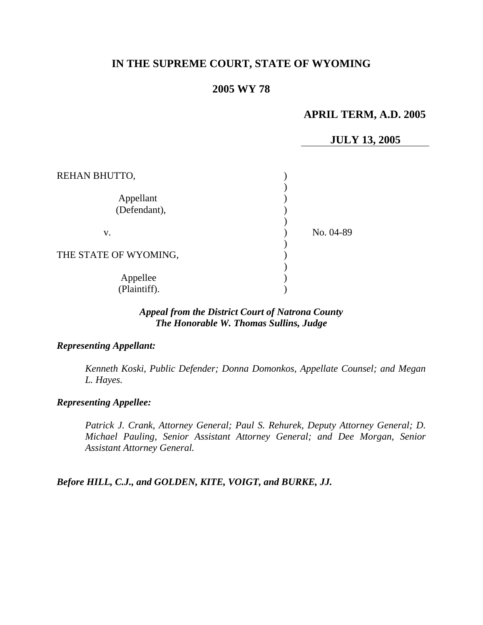# **IN THE SUPREME COURT, STATE OF WYOMING**

# **2005 WY 78**

# **APRIL TERM, A.D. 2005**

# **JULY 13, 2005**

| REHAN BHUTTO,             |           |
|---------------------------|-----------|
| Appellant<br>(Defendant), |           |
| V.                        | No. 04-89 |
| THE STATE OF WYOMING,     |           |
| Appellee<br>(Plaintiff).  |           |

### *Appeal from the District Court of Natrona County The Honorable W. Thomas Sullins, Judge*

#### *Representing Appellant:*

*Kenneth Koski, Public Defender; Donna Domonkos, Appellate Counsel; and Megan L. Hayes.* 

#### *Representing Appellee:*

*Patrick J. Crank, Attorney General; Paul S. Rehurek, Deputy Attorney General; D. Michael Pauling, Senior Assistant Attorney General; and Dee Morgan, Senior Assistant Attorney General.* 

*Before HILL, C.J., and GOLDEN, KITE, VOIGT, and BURKE, JJ.*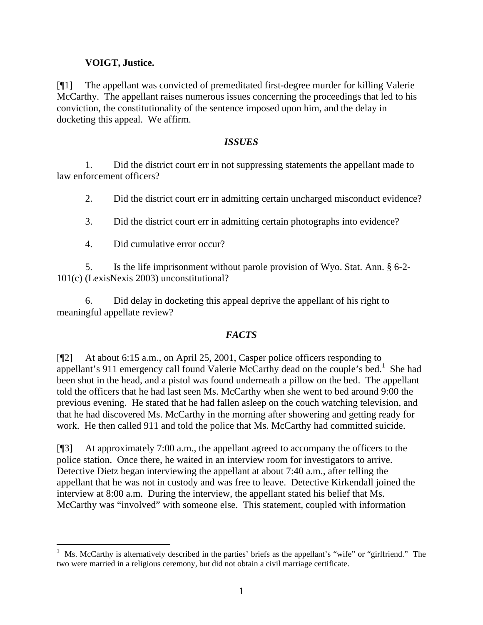# **VOIGT, Justice.**

[¶1] The appellant was convicted of premeditated first-degree murder for killing Valerie McCarthy. The appellant raises numerous issues concerning the proceedings that led to his conviction, the constitutionality of the sentence imposed upon him, and the delay in docketing this appeal. We affirm.

# *ISSUES*

1. Did the district court err in not suppressing statements the appellant made to law enforcement officers?

2. Did the district court err in admitting certain uncharged misconduct evidence?

3. Did the district court err in admitting certain photographs into evidence?

4. Did cumulative error occur?

5. Is the life imprisonment without parole provision of Wyo. Stat. Ann. § 6-2- 101(c) (LexisNexis 2003) unconstitutional?

6. Did delay in docketing this appeal deprive the appellant of his right to meaningful appellate review?

# *FACTS*

[¶2] At about 6:15 a.m., on April 25, 2001, Casper police officers responding to appellant's 911 emergency call found Valerie McCarthy dead on the couple's bed.<sup>1</sup> She had been shot in the head, and a pistol was found underneath a pillow on the bed. The appellant told the officers that he had last seen Ms. McCarthy when she went to bed around 9:00 the previous evening. He stated that he had fallen asleep on the couch watching television, and that he had discovered Ms. McCarthy in the morning after showering and getting ready for work. He then called 911 and told the police that Ms. McCarthy had committed suicide.

[¶3] At approximately 7:00 a.m., the appellant agreed to accompany the officers to the police station. Once there, he waited in an interview room for investigators to arrive. Detective Dietz began interviewing the appellant at about 7:40 a.m., after telling the appellant that he was not in custody and was free to leave. Detective Kirkendall joined the interview at 8:00 a.m. During the interview, the appellant stated his belief that Ms. McCarthy was "involved" with someone else. This statement, coupled with information

 1 Ms. McCarthy is alternatively described in the parties' briefs as the appellant's "wife" or "girlfriend." The two were married in a religious ceremony, but did not obtain a civil marriage certificate.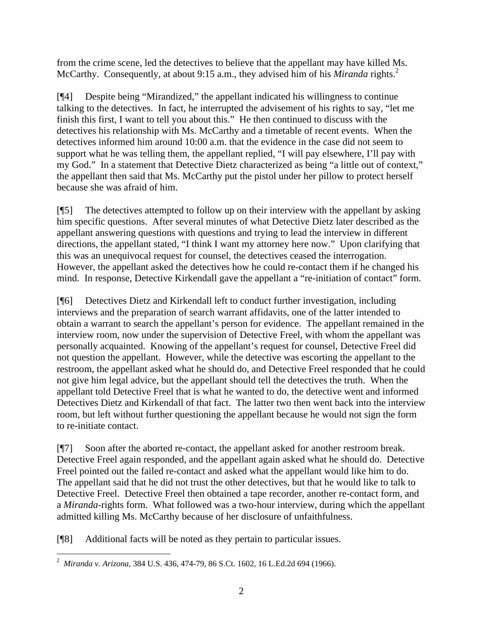from the crime scene, led the detectives to believe that the appellant may have killed Ms. McCarthy. Consequently, at about 9:15 a.m., they advised him of his *Miranda* rights.<sup>2</sup>

[¶4] Despite being "Mirandized," the appellant indicated his willingness to continue talking to the detectives. In fact, he interrupted the advisement of his rights to say, "let me finish this first, I want to tell you about this." He then continued to discuss with the detectives his relationship with Ms. McCarthy and a timetable of recent events. When the detectives informed him around 10:00 a.m. that the evidence in the case did not seem to support what he was telling them, the appellant replied, "I will pay elsewhere, I'll pay with my God." In a statement that Detective Dietz characterized as being "a little out of context," the appellant then said that Ms. McCarthy put the pistol under her pillow to protect herself because she was afraid of him.

[¶5] The detectives attempted to follow up on their interview with the appellant by asking him specific questions. After several minutes of what Detective Dietz later described as the appellant answering questions with questions and trying to lead the interview in different directions, the appellant stated, "I think I want my attorney here now." Upon clarifying that this was an unequivocal request for counsel, the detectives ceased the interrogation. However, the appellant asked the detectives how he could re-contact them if he changed his mind. In response, Detective Kirkendall gave the appellant a "re-initiation of contact" form.

[¶6] Detectives Dietz and Kirkendall left to conduct further investigation, including interviews and the preparation of search warrant affidavits, one of the latter intended to obtain a warrant to search the appellant's person for evidence. The appellant remained in the interview room, now under the supervision of Detective Freel, with whom the appellant was personally acquainted. Knowing of the appellant's request for counsel, Detective Freel did not question the appellant. However, while the detective was escorting the appellant to the restroom, the appellant asked what he should do, and Detective Freel responded that he could not give him legal advice, but the appellant should tell the detectives the truth. When the appellant told Detective Freel that is what he wanted to do, the detective went and informed Detectives Dietz and Kirkendall of that fact. The latter two then went back into the interview room, but left without further questioning the appellant because he would not sign the form to re-initiate contact.

[¶7] Soon after the aborted re-contact, the appellant asked for another restroom break. Detective Freel again responded, and the appellant again asked what he should do. Detective Freel pointed out the failed re-contact and asked what the appellant would like him to do. The appellant said that he did not trust the other detectives, but that he would like to talk to Detective Freel. Detective Freel then obtained a tape recorder, another re-contact form, and a *Miranda*-rights form. What followed was a two-hour interview, during which the appellant admitted killing Ms. McCarthy because of her disclosure of unfaithfulness.

[¶8] Additional facts will be noted as they pertain to particular issues.

 2 *Miranda v. Arizona,* 384 U.S. 436, 474-79, 86 S.Ct. 1602, 16 L.Ed.2d 694 (1966).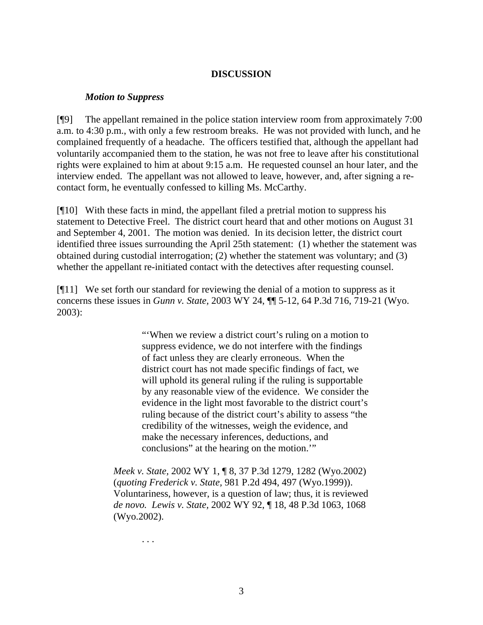#### **DISCUSSION**

#### *Motion to Suppress*

[¶9] The appellant remained in the police station interview room from approximately 7:00 a.m. to 4:30 p.m., with only a few restroom breaks. He was not provided with lunch, and he complained frequently of a headache. The officers testified that, although the appellant had voluntarily accompanied them to the station, he was not free to leave after his constitutional rights were explained to him at about 9:15 a.m. He requested counsel an hour later, and the interview ended. The appellant was not allowed to leave, however, and, after signing a recontact form, he eventually confessed to killing Ms. McCarthy.

[¶10] With these facts in mind, the appellant filed a pretrial motion to suppress his statement to Detective Freel. The district court heard that and other motions on August 31 and September 4, 2001. The motion was denied. In its decision letter, the district court identified three issues surrounding the April 25th statement: (1) whether the statement was obtained during custodial interrogation; (2) whether the statement was voluntary; and (3) whether the appellant re-initiated contact with the detectives after requesting counsel.

[¶11] We set forth our standard for reviewing the denial of a motion to suppress as it concerns these issues in *Gunn v. State,* 2003 WY 24, ¶¶ 5-12, 64 P.3d 716, 719-21 (Wyo. 2003):

> "'When we review a district court's ruling on a motion to suppress evidence, we do not interfere with the findings of fact unless they are clearly erroneous. When the district court has not made specific findings of fact, we will uphold its general ruling if the ruling is supportable by any reasonable view of the evidence. We consider the evidence in the light most favorable to the district court's ruling because of the district court's ability to assess "the credibility of the witnesses, weigh the evidence, and make the necessary inferences, deductions, and conclusions" at the hearing on the motion.'"

*Meek v. State,* 2002 WY 1, ¶ 8, 37 P.3d 1279, 1282 (Wyo.2002) (*quoting Frederick v. State,* 981 P.2d 494, 497 (Wyo.1999)). Voluntariness, however, is a question of law; thus, it is reviewed *de novo. Lewis v. State,* 2002 WY 92, ¶ 18, 48 P.3d 1063, 1068 (Wyo.2002).

. . .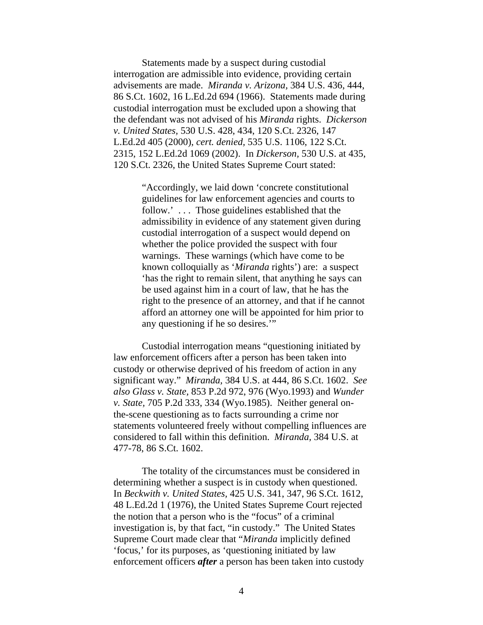Statements made by a suspect during custodial interrogation are admissible into evidence, providing certain advisements are made. *Miranda v. Arizona,* 384 U.S. 436, 444, 86 S.Ct. 1602, 16 L.Ed.2d 694 (1966). Statements made during custodial interrogation must be excluded upon a showing that the defendant was not advised of his *Miranda* rights. *Dickerson v. United States,* 530 U.S. 428, 434, 120 S.Ct. 2326, 147 L.Ed.2d 405 (2000), *cert. denied,* 535 U.S. 1106, 122 S.Ct. 2315, 152 L.Ed.2d 1069 (2002). In *Dickerson,* 530 U.S. at 435, 120 S.Ct. 2326, the United States Supreme Court stated:

> "Accordingly, we laid down 'concrete constitutional guidelines for law enforcement agencies and courts to follow.' . . . Those guidelines established that the admissibility in evidence of any statement given during custodial interrogation of a suspect would depend on whether the police provided the suspect with four warnings. These warnings (which have come to be known colloquially as '*Miranda* rights') are: a suspect 'has the right to remain silent, that anything he says can be used against him in a court of law, that he has the right to the presence of an attorney, and that if he cannot afford an attorney one will be appointed for him prior to any questioning if he so desires.'"

Custodial interrogation means "questioning initiated by law enforcement officers after a person has been taken into custody or otherwise deprived of his freedom of action in any significant way." *Miranda,* 384 U.S. at 444, 86 S.Ct. 1602. *See also Glass v. State,* 853 P.2d 972, 976 (Wyo.1993) and *Wunder v. State,* 705 P.2d 333, 334 (Wyo.1985). Neither general onthe-scene questioning as to facts surrounding a crime nor statements volunteered freely without compelling influences are considered to fall within this definition. *Miranda,* 384 U.S. at 477-78, 86 S.Ct. 1602.

The totality of the circumstances must be considered in determining whether a suspect is in custody when questioned. In *Beckwith v. United States,* 425 U.S. 341, 347, 96 S.Ct. 1612, 48 L.Ed.2d 1 (1976), the United States Supreme Court rejected the notion that a person who is the "focus" of a criminal investigation is, by that fact, "in custody." The United States Supreme Court made clear that "*Miranda* implicitly defined 'focus,' for its purposes, as 'questioning initiated by law enforcement officers *after* a person has been taken into custody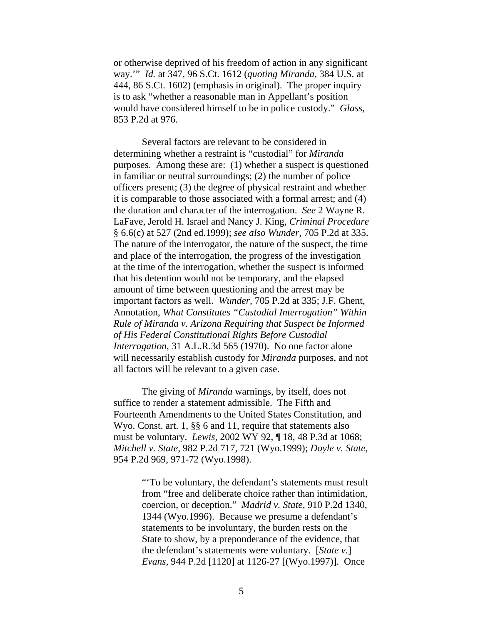or otherwise deprived of his freedom of action in any significant way.'" *Id.* at 347, 96 S.Ct. 1612 (*quoting Miranda,* 384 U.S. at 444, 86 S.Ct. 1602) (emphasis in original). The proper inquiry is to ask "whether a reasonable man in Appellant's position would have considered himself to be in police custody." *Glass,*  853 P.2d at 976.

Several factors are relevant to be considered in determining whether a restraint is "custodial" for *Miranda* purposes. Among these are: (1) whether a suspect is questioned in familiar or neutral surroundings; (2) the number of police officers present; (3) the degree of physical restraint and whether it is comparable to those associated with a formal arrest; and (4) the duration and character of the interrogation. *See* 2 Wayne R. LaFave, Jerold H. Israel and Nancy J. King, *Criminal Procedure*  § 6.6(c) at 527 (2nd ed.1999); *see also Wunder,* 705 P.2d at 335. The nature of the interrogator, the nature of the suspect, the time and place of the interrogation, the progress of the investigation at the time of the interrogation, whether the suspect is informed that his detention would not be temporary, and the elapsed amount of time between questioning and the arrest may be important factors as well. *Wunder,* 705 P.2d at 335; J.F. Ghent, Annotation, *What Constitutes "Custodial Interrogation" Within Rule of Miranda v. Arizona Requiring that Suspect be Informed of His Federal Constitutional Rights Before Custodial Interrogation,* 31 A.L.R.3d 565 (1970). No one factor alone will necessarily establish custody for *Miranda* purposes, and not all factors will be relevant to a given case.

 The giving of *Miranda* warnings, by itself, does not suffice to render a statement admissible. The Fifth and Fourteenth Amendments to the United States Constitution, and Wyo. Const. art. 1, §§ 6 and 11, require that statements also must be voluntary. *Lewis,* 2002 WY 92, ¶ 18, 48 P.3d at 1068; *Mitchell v. State,* 982 P.2d 717, 721 (Wyo.1999); *Doyle v. State,*  954 P.2d 969, 971-72 (Wyo.1998).

> "'To be voluntary, the defendant's statements must result from "free and deliberate choice rather than intimidation, coercion, or deception." *Madrid v. State,* 910 P.2d 1340, 1344 (Wyo.1996). Because we presume a defendant's statements to be involuntary, the burden rests on the State to show, by a preponderance of the evidence, that the defendant's statements were voluntary. [*State v.*] *Evans,* 944 P.2d [1120] at 1126-27 [(Wyo.1997)]. Once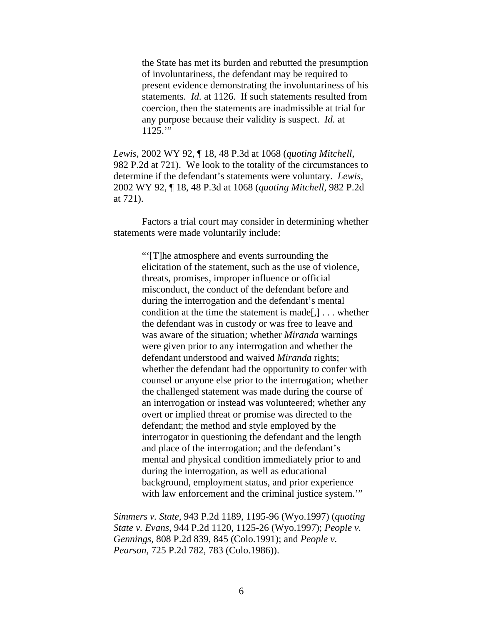the State has met its burden and rebutted the presumption of involuntariness, the defendant may be required to present evidence demonstrating the involuntariness of his statements. *Id.* at 1126. If such statements resulted from coercion, then the statements are inadmissible at trial for any purpose because their validity is suspect. *Id.* at  $1125."$ 

*Lewis,* 2002 WY 92, ¶ 18, 48 P.3d at 1068 (*quoting Mitchell,*  982 P.2d at 721). We look to the totality of the circumstances to determine if the defendant's statements were voluntary. *Lewis,* 2002 WY 92, ¶ 18, 48 P.3d at 1068 (*quoting Mitchell,* 982 P.2d at 721).

Factors a trial court may consider in determining whether statements were made voluntarily include:

> "'[T]he atmosphere and events surrounding the elicitation of the statement, such as the use of violence, threats, promises, improper influence or official misconduct, the conduct of the defendant before and during the interrogation and the defendant's mental condition at the time the statement is made[,] . . . whether the defendant was in custody or was free to leave and was aware of the situation; whether *Miranda* warnings were given prior to any interrogation and whether the defendant understood and waived *Miranda* rights; whether the defendant had the opportunity to confer with counsel or anyone else prior to the interrogation; whether the challenged statement was made during the course of an interrogation or instead was volunteered; whether any overt or implied threat or promise was directed to the defendant; the method and style employed by the interrogator in questioning the defendant and the length and place of the interrogation; and the defendant's mental and physical condition immediately prior to and during the interrogation, as well as educational background, employment status, and prior experience with law enforcement and the criminal justice system.""

*Simmers v. State,* 943 P.2d 1189, 1195-96 (Wyo.1997) (*quoting State v. Evans,* 944 P.2d 1120, 1125-26 (Wyo.1997); *People v. Gennings,* 808 P.2d 839, 845 (Colo.1991); and *People v. Pearson,* 725 P.2d 782, 783 (Colo.1986)).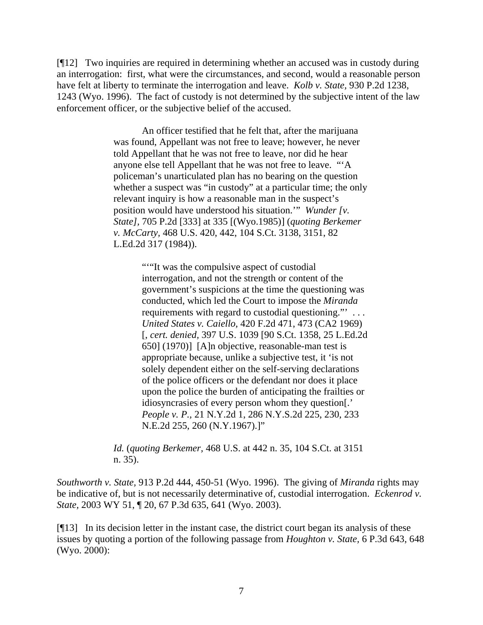[¶12] Two inquiries are required in determining whether an accused was in custody during an interrogation: first, what were the circumstances, and second, would a reasonable person have felt at liberty to terminate the interrogation and leave. *Kolb v. State,* 930 P.2d 1238, 1243 (Wyo. 1996). The fact of custody is not determined by the subjective intent of the law enforcement officer, or the subjective belief of the accused.

> An officer testified that he felt that, after the marijuana was found, Appellant was not free to leave; however, he never told Appellant that he was not free to leave, nor did he hear anyone else tell Appellant that he was not free to leave. "'A policeman's unarticulated plan has no bearing on the question whether a suspect was "in custody" at a particular time; the only relevant inquiry is how a reasonable man in the suspect's position would have understood his situation.'" *Wunder [v. State],* 705 P.2d [333] at 335 [(Wyo.1985)] (*quoting Berkemer v. McCarty,* 468 U.S. 420, 442, 104 S.Ct. 3138, 3151, 82 L.Ed.2d 317 (1984)).

> > ""It was the compulsive aspect of custodial" interrogation, and not the strength or content of the government's suspicions at the time the questioning was conducted, which led the Court to impose the *Miranda*  requirements with regard to custodial questioning."' . . . *United States v. Caiello,* 420 F.2d 471, 473 (CA2 1969) [, *cert. denied,* 397 U.S. 1039 [90 S.Ct. 1358, 25 L.Ed.2d 650] (1970)] [A]n objective, reasonable-man test is appropriate because, unlike a subjective test, it 'is not solely dependent either on the self-serving declarations of the police officers or the defendant nor does it place upon the police the burden of anticipating the frailties or idiosyncrasies of every person whom they question[.' *People v. P.,* 21 N.Y.2d 1, 286 N.Y.S.2d 225, 230, 233 N.E.2d 255, 260 (N.Y.1967).]"

*Id.* (*quoting Berkemer,* 468 U.S. at 442 n. 35, 104 S.Ct. at 3151 n. 35).

*Southworth v. State,* 913 P.2d 444, 450-51 (Wyo. 1996). The giving of *Miranda* rights may be indicative of, but is not necessarily determinative of, custodial interrogation. *Eckenrod v. State,* 2003 WY 51, ¶ 20, 67 P.3d 635, 641 (Wyo. 2003).

[¶13] In its decision letter in the instant case, the district court began its analysis of these issues by quoting a portion of the following passage from *Houghton v. State,* 6 P.3d 643, 648 (Wyo. 2000):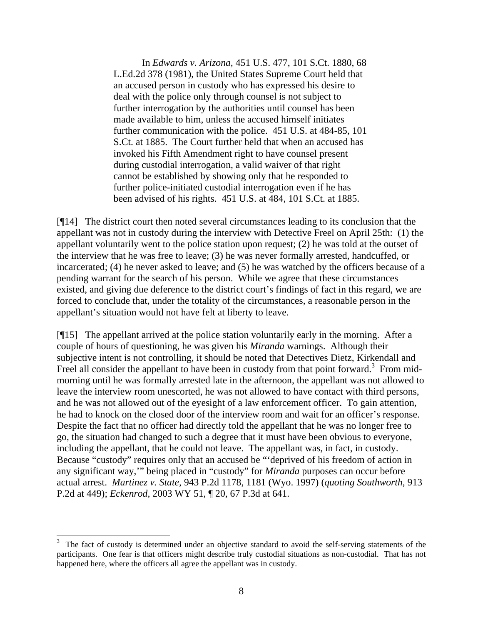In *Edwards v. Arizona,* 451 U.S. 477, 101 S.Ct. 1880, 68 L.Ed.2d 378 (1981), the United States Supreme Court held that an accused person in custody who has expressed his desire to deal with the police only through counsel is not subject to further interrogation by the authorities until counsel has been made available to him, unless the accused himself initiates further communication with the police. 451 U.S. at 484-85, 101 S.Ct. at 1885. The Court further held that when an accused has invoked his Fifth Amendment right to have counsel present during custodial interrogation, a valid waiver of that right cannot be established by showing only that he responded to further police-initiated custodial interrogation even if he has been advised of his rights. 451 U.S. at 484, 101 S.Ct. at 1885.

[¶14] The district court then noted several circumstances leading to its conclusion that the appellant was not in custody during the interview with Detective Freel on April 25th: (1) the appellant voluntarily went to the police station upon request; (2) he was told at the outset of the interview that he was free to leave; (3) he was never formally arrested, handcuffed, or incarcerated; (4) he never asked to leave; and (5) he was watched by the officers because of a pending warrant for the search of his person. While we agree that these circumstances existed, and giving due deference to the district court's findings of fact in this regard, we are forced to conclude that, under the totality of the circumstances, a reasonable person in the appellant's situation would not have felt at liberty to leave.

[¶15] The appellant arrived at the police station voluntarily early in the morning. After a couple of hours of questioning, he was given his *Miranda* warnings. Although their subjective intent is not controlling, it should be noted that Detectives Dietz, Kirkendall and Freel all consider the appellant to have been in custody from that point forward.<sup>3</sup> From midmorning until he was formally arrested late in the afternoon, the appellant was not allowed to leave the interview room unescorted, he was not allowed to have contact with third persons, and he was not allowed out of the eyesight of a law enforcement officer. To gain attention, he had to knock on the closed door of the interview room and wait for an officer's response. Despite the fact that no officer had directly told the appellant that he was no longer free to go, the situation had changed to such a degree that it must have been obvious to everyone, including the appellant, that he could not leave. The appellant was, in fact, in custody. Because "custody" requires only that an accused be "'deprived of his freedom of action in any significant way,'" being placed in "custody" for *Miranda* purposes can occur before actual arrest. *Martinez v. State,* 943 P.2d 1178, 1181 (Wyo. 1997) (*quoting Southworth*, 913 P.2d at 449); *Eckenrod,* 2003 WY 51, ¶ 20, 67 P.3d at 641.

<sup>3</sup> The fact of custody is determined under an objective standard to avoid the self-serving statements of the participants. One fear is that officers might describe truly custodial situations as non-custodial. That has not happened here, where the officers all agree the appellant was in custody.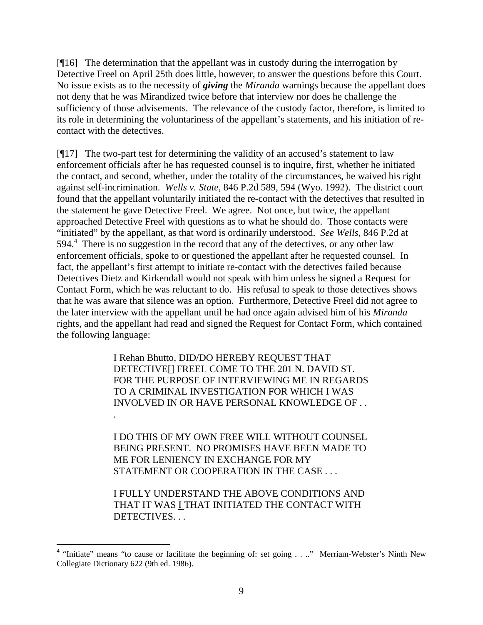[¶16] The determination that the appellant was in custody during the interrogation by Detective Freel on April 25th does little, however, to answer the questions before this Court. No issue exists as to the necessity of *giving* the *Miranda* warnings because the appellant does not deny that he was Mirandized twice before that interview nor does he challenge the sufficiency of those advisements. The relevance of the custody factor, therefore, is limited to its role in determining the voluntariness of the appellant's statements, and his initiation of recontact with the detectives.

[¶17] The two-part test for determining the validity of an accused's statement to law enforcement officials after he has requested counsel is to inquire, first, whether he initiated the contact, and second, whether, under the totality of the circumstances, he waived his right against self-incrimination. *Wells v. State,* 846 P.2d 589, 594 (Wyo. 1992). The district court found that the appellant voluntarily initiated the re-contact with the detectives that resulted in the statement he gave Detective Freel. We agree. Not once, but twice, the appellant approached Detective Freel with questions as to what he should do. Those contacts were "initiated" by the appellant, as that word is ordinarily understood. *See Wells,* 846 P.2d at 594.<sup>4</sup> There is no suggestion in the record that any of the detectives, or any other law enforcement officials, spoke to or questioned the appellant after he requested counsel. In fact, the appellant's first attempt to initiate re-contact with the detectives failed because Detectives Dietz and Kirkendall would not speak with him unless he signed a Request for Contact Form, which he was reluctant to do. His refusal to speak to those detectives shows that he was aware that silence was an option. Furthermore, Detective Freel did not agree to the later interview with the appellant until he had once again advised him of his *Miranda*  rights, and the appellant had read and signed the Request for Contact Form, which contained the following language:

> I Rehan Bhutto, DID/DO HEREBY REQUEST THAT DETECTIVE[] FREEL COME TO THE 201 N. DAVID ST. FOR THE PURPOSE OF INTERVIEWING ME IN REGARDS TO A CRIMINAL INVESTIGATION FOR WHICH I WAS INVOLVED IN OR HAVE PERSONAL KNOWLEDGE OF . .

.

I DO THIS OF MY OWN FREE WILL WITHOUT COUNSEL BEING PRESENT. NO PROMISES HAVE BEEN MADE TO ME FOR LENIENCY IN EXCHANGE FOR MY STATEMENT OR COOPERATION IN THE CASE . . .

I FULLY UNDERSTAND THE ABOVE CONDITIONS AND THAT IT WAS I THAT INITIATED THE CONTACT WITH DETECTIVES. . .

 4 "Initiate" means "to cause or facilitate the beginning of: set going . . .." Merriam-Webster's Ninth New Collegiate Dictionary 622 (9th ed. 1986).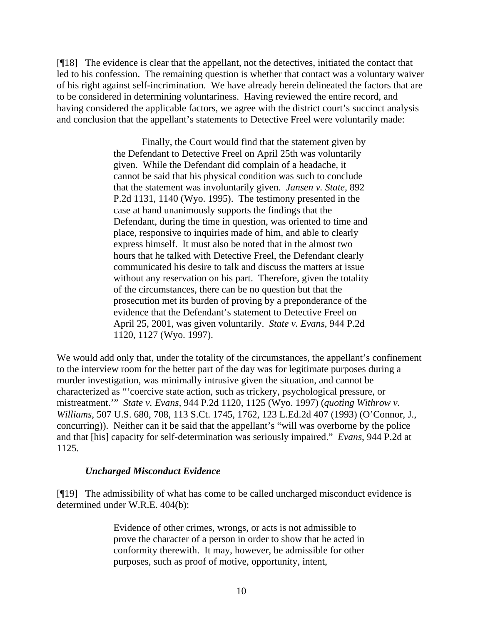[¶18] The evidence is clear that the appellant, not the detectives, initiated the contact that led to his confession. The remaining question is whether that contact was a voluntary waiver of his right against self-incrimination. We have already herein delineated the factors that are to be considered in determining voluntariness. Having reviewed the entire record, and having considered the applicable factors, we agree with the district court's succinct analysis and conclusion that the appellant's statements to Detective Freel were voluntarily made:

> Finally, the Court would find that the statement given by the Defendant to Detective Freel on April 25th was voluntarily given. While the Defendant did complain of a headache, it cannot be said that his physical condition was such to conclude that the statement was involuntarily given. *Jansen v. State,* 892 P.2d 1131, 1140 (Wyo. 1995). The testimony presented in the case at hand unanimously supports the findings that the Defendant, during the time in question, was oriented to time and place, responsive to inquiries made of him, and able to clearly express himself. It must also be noted that in the almost two hours that he talked with Detective Freel, the Defendant clearly communicated his desire to talk and discuss the matters at issue without any reservation on his part. Therefore, given the totality of the circumstances, there can be no question but that the prosecution met its burden of proving by a preponderance of the evidence that the Defendant's statement to Detective Freel on April 25, 2001, was given voluntarily. *State v. Evans,* 944 P.2d 1120, 1127 (Wyo. 1997).

We would add only that, under the totality of the circumstances, the appellant's confinement to the interview room for the better part of the day was for legitimate purposes during a murder investigation, was minimally intrusive given the situation, and cannot be characterized as "'coercive state action, such as trickery, psychological pressure, or mistreatment.'" *State v. Evans,* 944 P.2d 1120, 1125 (Wyo. 1997) (*quoting Withrow v. Williams*, 507 U.S. 680, 708, 113 S.Ct. 1745, 1762, 123 L.Ed.2d 407 (1993) (O'Connor, J., concurring)). Neither can it be said that the appellant's "will was overborne by the police and that [his] capacity for self-determination was seriously impaired." *Evans*, 944 P.2d at 1125.

### *Uncharged Misconduct Evidence*

[¶19] The admissibility of what has come to be called uncharged misconduct evidence is determined under W.R.E. 404(b):

> Evidence of other crimes, wrongs, or acts is not admissible to prove the character of a person in order to show that he acted in conformity therewith. It may, however, be admissible for other purposes, such as proof of motive, opportunity, intent,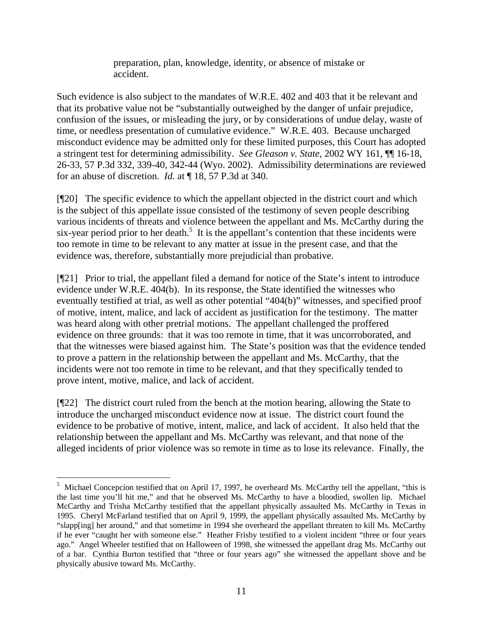preparation, plan, knowledge, identity, or absence of mistake or accident.

Such evidence is also subject to the mandates of W.R.E. 402 and 403 that it be relevant and that its probative value not be "substantially outweighed by the danger of unfair prejudice, confusion of the issues, or misleading the jury, or by considerations of undue delay, waste of time, or needless presentation of cumulative evidence." W.R.E. 403. Because uncharged misconduct evidence may be admitted only for these limited purposes, this Court has adopted a stringent test for determining admissibility. *See Gleason v. State,* 2002 WY 161, ¶¶ 16-18, 26-33, 57 P.3d 332, 339-40, 342-44 (Wyo. 2002). Admissibility determinations are reviewed for an abuse of discretion. *Id.* at ¶ 18, 57 P.3d at 340.

[¶20] The specific evidence to which the appellant objected in the district court and which is the subject of this appellate issue consisted of the testimony of seven people describing various incidents of threats and violence between the appellant and Ms. McCarthy during the six-year period prior to her death.<sup>5</sup> It is the appellant's contention that these incidents were too remote in time to be relevant to any matter at issue in the present case, and that the evidence was, therefore, substantially more prejudicial than probative.

[¶21] Prior to trial, the appellant filed a demand for notice of the State's intent to introduce evidence under W.R.E. 404(b). In its response, the State identified the witnesses who eventually testified at trial, as well as other potential "404(b)" witnesses, and specified proof of motive, intent, malice, and lack of accident as justification for the testimony. The matter was heard along with other pretrial motions. The appellant challenged the proffered evidence on three grounds: that it was too remote in time, that it was uncorroborated, and that the witnesses were biased against him. The State's position was that the evidence tended to prove a pattern in the relationship between the appellant and Ms. McCarthy, that the incidents were not too remote in time to be relevant, and that they specifically tended to prove intent, motive, malice, and lack of accident.

[¶22] The district court ruled from the bench at the motion hearing, allowing the State to introduce the uncharged misconduct evidence now at issue. The district court found the evidence to be probative of motive, intent, malice, and lack of accident. It also held that the relationship between the appellant and Ms. McCarthy was relevant, and that none of the alleged incidents of prior violence was so remote in time as to lose its relevance. Finally, the

 $\overline{a}$ <sup>5</sup> Michael Concepcion testified that on April 17, 1997, he overheard Ms. McCarthy tell the appellant, "this is the last time you'll hit me," and that he observed Ms. McCarthy to have a bloodied, swollen lip. Michael McCarthy and Trisha McCarthy testified that the appellant physically assaulted Ms. McCarthy in Texas in 1995. Cheryl McFarland testified that on April 9, 1999, the appellant physically assaulted Ms. McCarthy by "slapp[ing] her around," and that sometime in 1994 she overheard the appellant threaten to kill Ms. McCarthy if he ever "caught her with someone else." Heather Frisby testified to a violent incident "three or four years ago." Angel Wheeler testified that on Halloween of 1998, she witnessed the appellant drag Ms. McCarthy out of a bar. Cynthia Burton testified that "three or four years ago" she witnessed the appellant shove and be physically abusive toward Ms. McCarthy.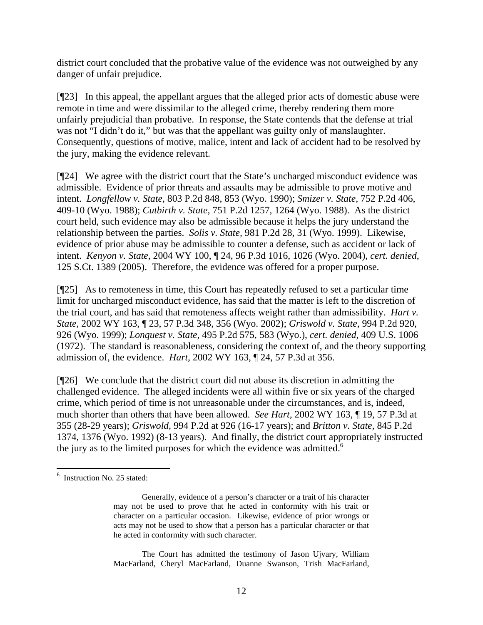district court concluded that the probative value of the evidence was not outweighed by any danger of unfair prejudice.

[¶23] In this appeal, the appellant argues that the alleged prior acts of domestic abuse were remote in time and were dissimilar to the alleged crime, thereby rendering them more unfairly prejudicial than probative. In response, the State contends that the defense at trial was not "I didn't do it," but was that the appellant was guilty only of manslaughter. Consequently, questions of motive, malice, intent and lack of accident had to be resolved by the jury, making the evidence relevant.

[¶24] We agree with the district court that the State's uncharged misconduct evidence was admissible. Evidence of prior threats and assaults may be admissible to prove motive and intent. *Longfellow v. State,* 803 P.2d 848, 853 (Wyo. 1990); *Smizer v. State,* 752 P.2d 406, 409-10 (Wyo. 1988); *Cutbirth v. State,* 751 P.2d 1257, 1264 (Wyo. 1988). As the district court held, such evidence may also be admissible because it helps the jury understand the relationship between the parties. *Solis v. State,* 981 P.2d 28, 31 (Wyo. 1999). Likewise, evidence of prior abuse may be admissible to counter a defense, such as accident or lack of intent. *Kenyon v. State,* 2004 WY 100, ¶ 24, 96 P.3d 1016, 1026 (Wyo. 2004), *cert. denied*, 125 S.Ct. 1389 (2005). Therefore, the evidence was offered for a proper purpose.

[¶25] As to remoteness in time, this Court has repeatedly refused to set a particular time limit for uncharged misconduct evidence, has said that the matter is left to the discretion of the trial court, and has said that remoteness affects weight rather than admissibility. *Hart v. State,* 2002 WY 163, ¶ 23, 57 P.3d 348, 356 (Wyo. 2002); *Griswold v. State,* 994 P.2d 920, 926 (Wyo. 1999); *Lonquest v. State,* 495 P.2d 575, 583 (Wyo.), *cert. denied*, 409 U.S. 1006 (1972). The standard is reasonableness, considering the context of, and the theory supporting admission of, the evidence. *Hart,* 2002 WY 163, ¶ 24, 57 P.3d at 356.

[¶26] We conclude that the district court did not abuse its discretion in admitting the challenged evidence. The alleged incidents were all within five or six years of the charged crime, which period of time is not unreasonable under the circumstances, and is, indeed, much shorter than others that have been allowed. *See Hart,* 2002 WY 163, ¶ 19, 57 P.3d at 355 (28-29 years); *Griswold,* 994 P.2d at 926 (16-17 years); and *Britton v. State,* 845 P.2d 1374, 1376 (Wyo. 1992) (8-13 years). And finally, the district court appropriately instructed the jury as to the limited purposes for which the evidence was admitted.<sup>6</sup>

The Court has admitted the testimony of Jason Ujvary, William MacFarland, Cheryl MacFarland, Duanne Swanson, Trish MacFarland,

l <sup>6</sup> Instruction No. 25 stated:

Generally, evidence of a person's character or a trait of his character may not be used to prove that he acted in conformity with his trait or character on a particular occasion. Likewise, evidence of prior wrongs or acts may not be used to show that a person has a particular character or that he acted in conformity with such character.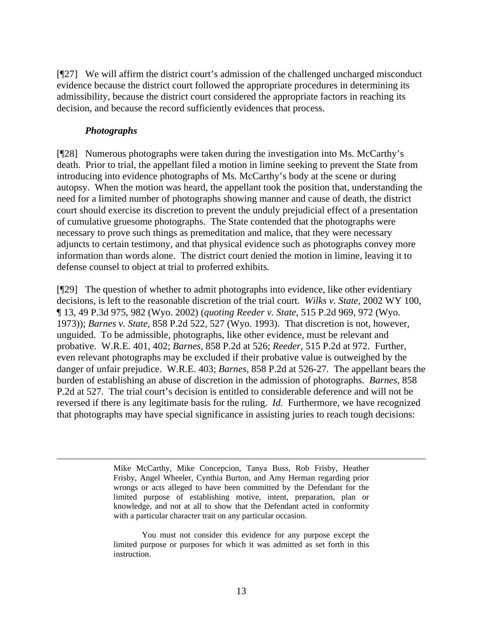[¶27] We will affirm the district court's admission of the challenged uncharged misconduct evidence because the district court followed the appropriate procedures in determining its admissibility, because the district court considered the appropriate factors in reaching its decision, and because the record sufficiently evidences that process.

#### *Photographs*

[¶28] Numerous photographs were taken during the investigation into Ms. McCarthy's death. Prior to trial, the appellant filed a motion in limine seeking to prevent the State from introducing into evidence photographs of Ms. McCarthy's body at the scene or during autopsy. When the motion was heard, the appellant took the position that, understanding the need for a limited number of photographs showing manner and cause of death, the district court should exercise its discretion to prevent the unduly prejudicial effect of a presentation of cumulative gruesome photographs. The State contended that the photographs were necessary to prove such things as premeditation and malice, that they were necessary adjuncts to certain testimony, and that physical evidence such as photographs convey more information than words alone. The district court denied the motion in limine, leaving it to defense counsel to object at trial to proferred exhibits.

[¶29] The question of whether to admit photographs into evidence, like other evidentiary decisions, is left to the reasonable discretion of the trial court. *Wilks v. State,* 2002 WY 100, ¶ 13, 49 P.3d 975, 982 (Wyo. 2002) (*quoting Reeder v. State*, 515 P.2d 969, 972 (Wyo. 1973)); *Barnes v. State,* 858 P.2d 522, 527 (Wyo. 1993). That discretion is not, however, unguided. To be admissible, photographs, like other evidence, must be relevant and probative. W.R.E. 401, 402; *Barnes,* 858 P.2d at 526; *Reeder,* 515 P.2d at 972. Further, even relevant photographs may be excluded if their probative value is outweighed by the danger of unfair prejudice. W.R.E. 403; *Barnes,* 858 P.2d at 526-27. The appellant bears the burden of establishing an abuse of discretion in the admission of photographs. *Barnes*, 858 P.2d at 527. The trial court's decision is entitled to considerable deference and will not be reversed if there is any legitimate basis for the ruling. *Id.* Furthermore, we have recognized that photographs may have special significance in assisting juries to reach tough decisions:

> Mike McCarthy, Mike Concepcion, Tanya Buss, Rob Frisby, Heather Frisby, Angel Wheeler, Cynthia Burton, and Amy Herman regarding prior wrongs or acts alleged to have been committed by the Defendant for the limited purpose of establishing motive, intent, preparation, plan or knowledge, and not at all to show that the Defendant acted in conformity with a particular character trait on any particular occasion.

> You must not consider this evidence for any purpose except the limited purpose or purposes for which it was admitted as set forth in this instruction.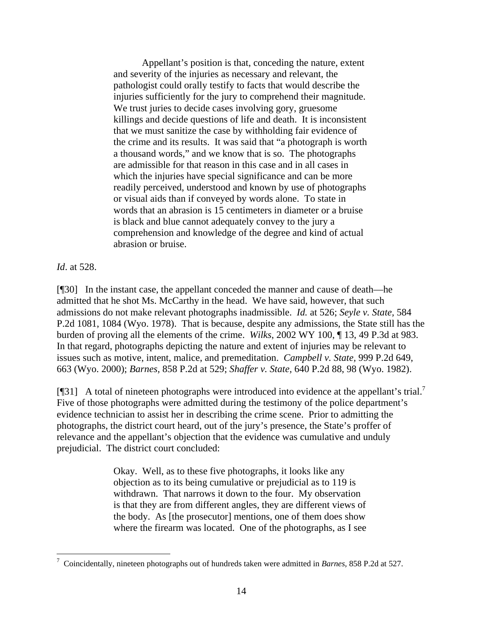Appellant's position is that, conceding the nature, extent and severity of the injuries as necessary and relevant, the pathologist could orally testify to facts that would describe the injuries sufficiently for the jury to comprehend their magnitude. We trust juries to decide cases involving gory, gruesome killings and decide questions of life and death. It is inconsistent that we must sanitize the case by withholding fair evidence of the crime and its results. It was said that "a photograph is worth a thousand words," and we know that is so. The photographs are admissible for that reason in this case and in all cases in which the injuries have special significance and can be more readily perceived, understood and known by use of photographs or visual aids than if conveyed by words alone. To state in words that an abrasion is 15 centimeters in diameter or a bruise is black and blue cannot adequately convey to the jury a comprehension and knowledge of the degree and kind of actual abrasion or bruise.

*Id*. at 528.

[¶30] In the instant case, the appellant conceded the manner and cause of death—he admitted that he shot Ms. McCarthy in the head. We have said, however, that such admissions do not make relevant photographs inadmissible. *Id.* at 526; *Seyle v. State,* 584 P.2d 1081, 1084 (Wyo. 1978). That is because, despite any admissions, the State still has the burden of proving all the elements of the crime. *Wilks*, 2002 WY 100, ¶ 13, 49 P.3d at 983. In that regard, photographs depicting the nature and extent of injuries may be relevant to issues such as motive, intent, malice, and premeditation. *Campbell v. State,* 999 P.2d 649, 663 (Wyo. 2000); *Barnes,* 858 P.2d at 529; *Shaffer v. State,* 640 P.2d 88, 98 (Wyo. 1982).

[ $[$ ]] A total of nineteen photographs were introduced into evidence at the appellant's trial.<sup>7</sup> Five of those photographs were admitted during the testimony of the police department's evidence technician to assist her in describing the crime scene. Prior to admitting the photographs, the district court heard, out of the jury's presence, the State's proffer of relevance and the appellant's objection that the evidence was cumulative and unduly prejudicial. The district court concluded:

> Okay. Well, as to these five photographs, it looks like any objection as to its being cumulative or prejudicial as to 119 is withdrawn. That narrows it down to the four. My observation is that they are from different angles, they are different views of the body. As [the prosecutor] mentions, one of them does show where the firearm was located. One of the photographs, as I see

 7 Coincidentally, nineteen photographs out of hundreds taken were admitted in *Barnes,* 858 P.2d at 527.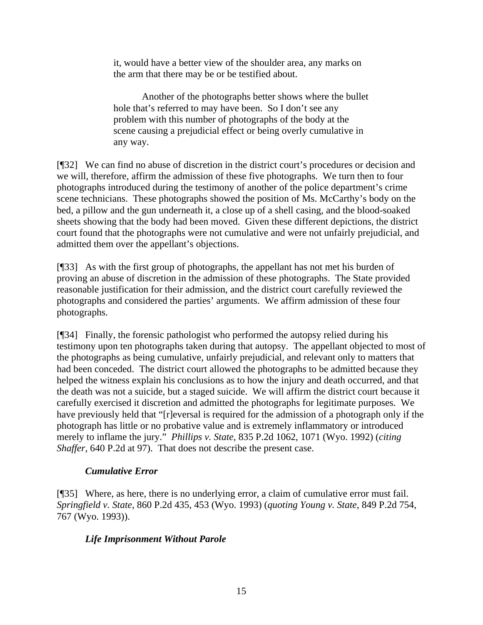it, would have a better view of the shoulder area, any marks on the arm that there may be or be testified about.

Another of the photographs better shows where the bullet hole that's referred to may have been. So I don't see any problem with this number of photographs of the body at the scene causing a prejudicial effect or being overly cumulative in any way.

[¶32] We can find no abuse of discretion in the district court's procedures or decision and we will, therefore, affirm the admission of these five photographs. We turn then to four photographs introduced during the testimony of another of the police department's crime scene technicians. These photographs showed the position of Ms. McCarthy's body on the bed, a pillow and the gun underneath it, a close up of a shell casing, and the blood-soaked sheets showing that the body had been moved. Given these different depictions, the district court found that the photographs were not cumulative and were not unfairly prejudicial, and admitted them over the appellant's objections.

[¶33] As with the first group of photographs, the appellant has not met his burden of proving an abuse of discretion in the admission of these photographs. The State provided reasonable justification for their admission, and the district court carefully reviewed the photographs and considered the parties' arguments. We affirm admission of these four photographs.

[¶34] Finally, the forensic pathologist who performed the autopsy relied during his testimony upon ten photographs taken during that autopsy. The appellant objected to most of the photographs as being cumulative, unfairly prejudicial, and relevant only to matters that had been conceded. The district court allowed the photographs to be admitted because they helped the witness explain his conclusions as to how the injury and death occurred, and that the death was not a suicide, but a staged suicide. We will affirm the district court because it carefully exercised it discretion and admitted the photographs for legitimate purposes. We have previously held that "[r]eversal is required for the admission of a photograph only if the photograph has little or no probative value and is extremely inflammatory or introduced merely to inflame the jury." *Phillips v. State,* 835 P.2d 1062, 1071 (Wyo. 1992) (*citing Shaffer,* 640 P.2d at 97). That does not describe the present case.

# *Cumulative Error*

[¶35] Where, as here, there is no underlying error, a claim of cumulative error must fail. *Springfield v. State,* 860 P.2d 435, 453 (Wyo. 1993) (*quoting Young v. State*, 849 P.2d 754, 767 (Wyo. 1993)).

# *Life Imprisonment Without Parole*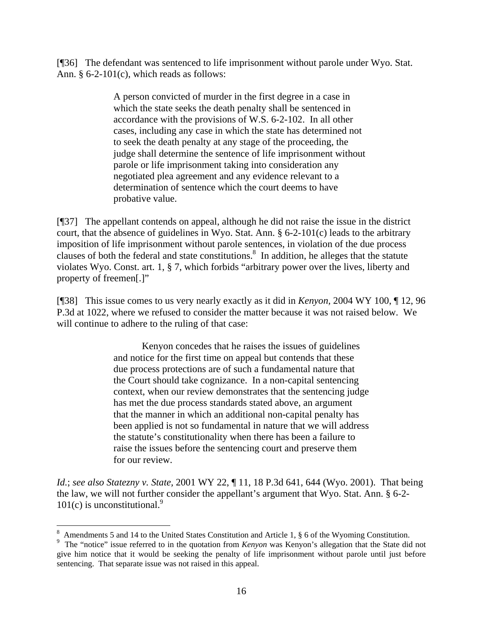[¶36] The defendant was sentenced to life imprisonment without parole under Wyo. Stat. Ann. § 6-2-101(c), which reads as follows:

> A person convicted of murder in the first degree in a case in which the state seeks the death penalty shall be sentenced in accordance with the provisions of W.S. 6-2-102. In all other cases, including any case in which the state has determined not to seek the death penalty at any stage of the proceeding, the judge shall determine the sentence of life imprisonment without parole or life imprisonment taking into consideration any negotiated plea agreement and any evidence relevant to a determination of sentence which the court deems to have probative value.

[¶37] The appellant contends on appeal, although he did not raise the issue in the district court, that the absence of guidelines in Wyo. Stat. Ann. § 6-2-101(c) leads to the arbitrary imposition of life imprisonment without parole sentences, in violation of the due process clauses of both the federal and state constitutions.<sup>8</sup> In addition, he alleges that the statute violates Wyo. Const. art. 1, § 7, which forbids "arbitrary power over the lives, liberty and property of freemen[.]"

[¶38] This issue comes to us very nearly exactly as it did in *Kenyon,* 2004 WY 100, ¶ 12, 96 P.3d at 1022, where we refused to consider the matter because it was not raised below. We will continue to adhere to the ruling of that case:

> Kenyon concedes that he raises the issues of guidelines and notice for the first time on appeal but contends that these due process protections are of such a fundamental nature that the Court should take cognizance. In a non-capital sentencing context, when our review demonstrates that the sentencing judge has met the due process standards stated above, an argument that the manner in which an additional non-capital penalty has been applied is not so fundamental in nature that we will address the statute's constitutionality when there has been a failure to raise the issues before the sentencing court and preserve them for our review.

*Id.*; *see also Statezny v. State,* 2001 WY 22, ¶ 11, 18 P.3d 641, 644 (Wyo. 2001). That being the law, we will not further consider the appellant's argument that Wyo. Stat. Ann. § 6-2-  $101(c)$  is unconstitutional.<sup>9</sup>

 $\overline{a}$ 

<sup>&</sup>lt;sup>8</sup> Amendments 5 and 14 to the United States Constitution and Article 1,  $\S$  6 of the Wyoming Constitution.

<sup>&</sup>lt;sup>9</sup> The "notice" issue referred to in the quotation from *Kenyon* was Kenyon's allegation that the State did not give him notice that it would be seeking the penalty of life imprisonment without parole until just before sentencing. That separate issue was not raised in this appeal.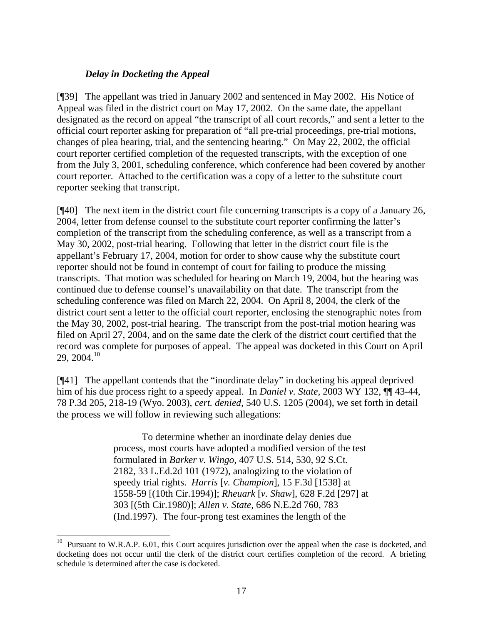# *Delay in Docketing the Appeal*

 $\overline{a}$ 

[¶39] The appellant was tried in January 2002 and sentenced in May 2002. His Notice of Appeal was filed in the district court on May 17, 2002. On the same date, the appellant designated as the record on appeal "the transcript of all court records," and sent a letter to the official court reporter asking for preparation of "all pre-trial proceedings, pre-trial motions, changes of plea hearing, trial, and the sentencing hearing." On May 22, 2002, the official court reporter certified completion of the requested transcripts, with the exception of one from the July 3, 2001, scheduling conference, which conference had been covered by another court reporter. Attached to the certification was a copy of a letter to the substitute court reporter seeking that transcript.

[¶40] The next item in the district court file concerning transcripts is a copy of a January 26, 2004, letter from defense counsel to the substitute court reporter confirming the latter's completion of the transcript from the scheduling conference, as well as a transcript from a May 30, 2002, post-trial hearing. Following that letter in the district court file is the appellant's February 17, 2004, motion for order to show cause why the substitute court reporter should not be found in contempt of court for failing to produce the missing transcripts. That motion was scheduled for hearing on March 19, 2004, but the hearing was continued due to defense counsel's unavailability on that date. The transcript from the scheduling conference was filed on March 22, 2004. On April 8, 2004, the clerk of the district court sent a letter to the official court reporter, enclosing the stenographic notes from the May 30, 2002, post-trial hearing. The transcript from the post-trial motion hearing was filed on April 27, 2004, and on the same date the clerk of the district court certified that the record was complete for purposes of appeal. The appeal was docketed in this Court on April 29, 2004.<sup>10</sup>

[¶41] The appellant contends that the "inordinate delay" in docketing his appeal deprived him of his due process right to a speedy appeal. In *Daniel v. State,* 2003 WY 132, ¶¶ 43-44, 78 P.3d 205, 218-19 (Wyo. 2003), *cert. denied*, 540 U.S. 1205 (2004), we set forth in detail the process we will follow in reviewing such allegations:

> To determine whether an inordinate delay denies due process, most courts have adopted a modified version of the test formulated in *Barker v. Wingo,* 407 U.S. 514, 530, 92 S.Ct. 2182, 33 L.Ed.2d 101 (1972), analogizing to the violation of speedy trial rights. *Harris* [*v. Champion*], 15 F.3d [1538] at 1558-59 [(10th Cir.1994)]; *Rheuark* [*v. Shaw*], 628 F.2d [297] at 303 [(5th Cir.1980)]; *Allen v. State,* 686 N.E.2d 760, 783 (Ind.1997). The four-prong test examines the length of the

 $10$  Pursuant to W.R.A.P. 6.01, this Court acquires jurisdiction over the appeal when the case is docketed, and docketing does not occur until the clerk of the district court certifies completion of the record. A briefing schedule is determined after the case is docketed.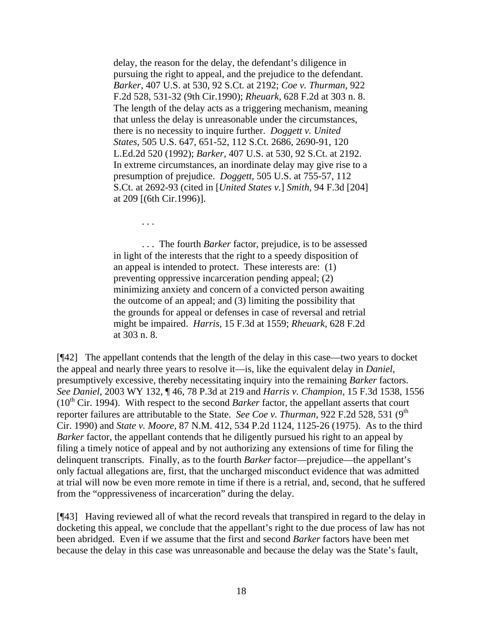delay, the reason for the delay, the defendant's diligence in pursuing the right to appeal, and the prejudice to the defendant. *Barker,* 407 U.S. at 530, 92 S.Ct. at 2192; *Coe v. Thurman,* 922 F.2d 528, 531-32 (9th Cir.1990); *Rheuark,* 628 F.2d at 303 n. 8. The length of the delay acts as a triggering mechanism, meaning that unless the delay is unreasonable under the circumstances, there is no necessity to inquire further. *Doggett v. United States,* 505 U.S. 647, 651-52, 112 S.Ct. 2686, 2690-91, 120 L.Ed.2d 520 (1992); *Barker,* 407 U.S. at 530, 92 S.Ct. at 2192. In extreme circumstances, an inordinate delay may give rise to a presumption of prejudice. *Doggett,* 505 U.S. at 755-57, 112 S.Ct. at 2692-93 (cited in [*United States v.*] *Smith,* 94 F.3d [204] at 209 [(6th Cir.1996)].

. . .

. . . The fourth *Barker* factor, prejudice, is to be assessed in light of the interests that the right to a speedy disposition of an appeal is intended to protect. These interests are: (1) preventing oppressive incarceration pending appeal; (2) minimizing anxiety and concern of a convicted person awaiting the outcome of an appeal; and (3) limiting the possibility that the grounds for appeal or defenses in case of reversal and retrial might be impaired. *Harris,* 15 F.3d at 1559; *Rheuark,* 628 F.2d at 303 n. 8.

 $[$ <del>[</del>[42] The appellant contends that the length of the delay in this case—two years to docket the appeal and nearly three years to resolve it—is, like the equivalent delay in *Daniel*, presumptively excessive, thereby necessitating inquiry into the remaining *Barker* factors. *See Daniel,* 2003 WY 132, ¶ 46, 78 P.3d at 219 and *Harris v. Champion,* 15 F.3d 1538, 1556  $(10<sup>th</sup> Cir. 1994)$ . With respect to the second *Barker* factor, the appellant asserts that court reporter failures are attributable to the State. *See Coe v. Thurman*, 922 F.2d 528, 531 (9<sup>th</sup>) Cir. 1990) and *State v. Moore,* 87 N.M. 412, 534 P.2d 1124, 1125-26 (1975). As to the third *Barker* factor, the appellant contends that he diligently pursued his right to an appeal by filing a timely notice of appeal and by not authorizing any extensions of time for filing the delinquent transcripts. Finally, as to the fourth *Barker* factor—prejudice—the appellant's only factual allegations are, first, that the uncharged misconduct evidence that was admitted at trial will now be even more remote in time if there is a retrial, and, second, that he suffered from the "oppressiveness of incarceration" during the delay.

[¶43] Having reviewed all of what the record reveals that transpired in regard to the delay in docketing this appeal, we conclude that the appellant's right to the due process of law has not been abridged. Even if we assume that the first and second *Barker* factors have been met because the delay in this case was unreasonable and because the delay was the State's fault,